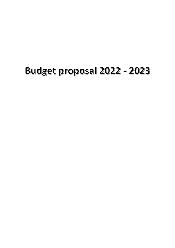## Budget proposal 2022 - 2023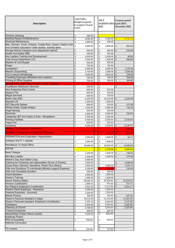| <b>Description</b>                                                                                                     | PASTOR's<br>Budget proposal<br>to support Church<br>vision | <b>MLT</b><br>AGREED 2021-April 2021-<br>2022 | <b>Current spend</b><br>December 2021        |  |  |
|------------------------------------------------------------------------------------------------------------------------|------------------------------------------------------------|-----------------------------------------------|----------------------------------------------|--|--|
|                                                                                                                        |                                                            |                                               |                                              |  |  |
| <b>Window Cleaning</b><br><b>Building Repairs &amp; Maintenance</b>                                                    | £<br>500.00<br>£<br>3,000.00                               | £                                             | 8,732.16                                     |  |  |
| Electrical Maintenance                                                                                                 | £<br>1,000.00                                              | 1,500.00<br>£<br>500.00                       |                                              |  |  |
| Men, Women, Youth, Children, Cradle Role, Ushers, Pastor's Aid                                                         |                                                            |                                               |                                              |  |  |
| And Christian Education+ bible studies, worship team                                                                   | £<br>4,000.00                                              | £<br>3,600.00                                 | £<br>852.05                                  |  |  |
| Sunday School Literature (non department spend)                                                                        | £<br>400.00                                                | £<br>400.00                                   | £<br>242.06                                  |  |  |
| <b>Health And Safety DBS</b>                                                                                           | £<br>200.00                                                | £<br>500.00                                   |                                              |  |  |
| Key Leaders Training And Development                                                                                   | £<br>2,450.00                                              | £<br>2,450.00                                 | £<br>40.00                                   |  |  |
| Care Group Department (15)                                                                                             | £<br>1,500.00                                              | £<br>1,300.00                                 | £<br>900.00                                  |  |  |
| Baptism & Lord Supper                                                                                                  | £<br>500.00<br>£                                           | £<br>500.00<br>£                              |                                              |  |  |
| Prayer<br>Evangelism                                                                                                   | 750.00<br>£<br>2,000.00                                    | 750.00<br>£<br>2,000.00                       | $\pmb{\mathsf{f}}$<br>1,125.00               |  |  |
| Mission (Supporting)                                                                                                   | £<br>1,750.00                                              | £<br>1,000.00                                 | $\mathbf{f}$<br>1,040.30                     |  |  |
| <b>CCLI Licence (Streaming)</b>                                                                                        | £<br>1,000.00                                              | £<br>3,000.00                                 | £<br>378.00                                  |  |  |
| <b>Travelling Expenses (Ministers And Leaders)</b>                                                                     | £<br>700.00                                                | £<br>700.00                                   | £<br>760.00                                  |  |  |
| <b>Printing &amp; Office Supplies</b>                                                                                  | £<br>750.00                                                | £<br>500.00                                   | £<br>304.89                                  |  |  |
| Retreat (MLT, CGP, Men, Women, Youth, Children)                                                                        |                                                            |                                               |                                              |  |  |
| <b>Crystalcare Washroom Services</b>                                                                                   | £<br>500.00                                                | £<br>$\overline{\phantom{a}}$                 | £                                            |  |  |
| New Enterprise Pest Control<br><b>Sargom Fire</b>                                                                      | £<br>600.00<br>£<br>600.00                                 | £<br>552.00<br>£<br>550.00                    |                                              |  |  |
| <b>Milgas Services</b>                                                                                                 | £<br>600.00                                                | £<br>520.00                                   |                                              |  |  |
| British Gas (DD)                                                                                                       | £<br>4,200.00                                              | £<br>10,236.00                                | $\pmb{\mathsf{f}}$<br>3,241.00               |  |  |
| Stannah Lift                                                                                                           | £<br>1,200.00                                              | £<br>1,200.00                                 |                                              |  |  |
| <b>ADT/Security System</b>                                                                                             | £<br>600.00                                                | £<br>550.00                                   | £<br>571.09                                  |  |  |
| Affinity Water / Castle Waters                                                                                         | £<br>1,200.00                                              | £<br>2,000.00                                 | £<br>745.33                                  |  |  |
| <b>Angel Springs</b>                                                                                                   | £<br>350.00                                                | £<br>350.00                                   |                                              |  |  |
| Electricity                                                                                                            | £<br>1,000.00                                              | £<br>3,000.00                                 | £<br>229.05                                  |  |  |
| Telephone (BT And Virgin) 2 lines + Broadband<br><b>Parking Facilities</b>                                             | £<br>1,300.00                                              | £<br>1,500.00<br>£<br>4,500.00                | £                                            |  |  |
| <b>Topps Fire</b>                                                                                                      | £<br>4,500.00<br>£<br>600.00                               | £<br>550.00                                   | 2,100.00                                     |  |  |
| Insurance                                                                                                              | £<br>4,500.00                                              | £<br>3,300.00                                 | £<br>4,138.75                                |  |  |
| <b>National And Regional Convention</b>                                                                                |                                                            | £<br>$\blacksquare$                           | £<br>1,700.00                                |  |  |
| <b>Donation To Regional And National Overseers</b>                                                                     |                                                            | £<br>500.00                                   | £<br>300.00                                  |  |  |
| <b>ORDINATION and Graduation +Appreciation</b>                                                                         | £<br>1,000.00                                              | £<br>2,000.00                                 | $\mathbf{f}$<br>64.17                        |  |  |
| Software And IT + website                                                                                              |                                                            |                                               |                                              |  |  |
|                                                                                                                        | £<br>1,500.00                                              | £<br>1,000.00                                 |                                              |  |  |
| Remittance To Head Office                                                                                              | £<br>18,000.00                                             | £<br>18,000.00                                | £<br>13,500.00                               |  |  |
| Gift Aid                                                                                                               |                                                            | $3,750.00$ £<br>£                             | 4,000.00                                     |  |  |
| <b>Bank Charges</b>                                                                                                    | £<br>1,200.00                                              | £<br>1,600.00                                 | $\mathbf{f}$<br>738.85                       |  |  |
| Mini Bus Liability                                                                                                     | £<br>2,300.00                                              | £<br>3,200.00                                 | $\mathbf{f}$<br>275.00                       |  |  |
| Mother's Day And Father's Day                                                                                          | £<br>3,000.00                                              | £                                             |                                              |  |  |
| Catering for Christmas and Appreciation Dinner (2 Events)                                                              | £<br>7,000.00                                              | £                                             | £<br>3,638.00                                |  |  |
| Social Action (Seniors, Homeless, Prison Plus Others)<br>Gifts And Donations To Individuals (Ministry support Expense) | £<br>2,000.00<br>£<br>2,500.00                             | £<br>2,000.00<br>2,500.00<br>£                | $\pounds$<br>1,235.57<br>$\pounds$<br>150.00 |  |  |
| <b>Gifts And Charitable Donation</b>                                                                                   | £<br>500.00                                                | $\pmb{\mathtt{f}}$<br>500.00                  |                                              |  |  |
| <b>Guest Speakers</b>                                                                                                  | £<br>1,000.00                                              | £<br>1,000.00                                 |                                              |  |  |
| Pastor's Training                                                                                                      | £<br>1,000.00                                              | £<br>1,000.00                                 |                                              |  |  |
| <b>Senior Pastors Salary</b>                                                                                           | £<br>39,366.25                                             | £<br>38,500.00                                | 26,250.03<br>£                               |  |  |
| <b>Pension Contribution</b>                                                                                            | £<br>1,000.41                                              | £<br>978.40                                   | £<br>733.77                                  |  |  |
| Snr Pastor's Employer's Contribution                                                                                   | £<br>5,432.54                                              | £<br>5,313.00                                 | E<br>3,016.17                                |  |  |
| Pastors Petrol Expenses - Allowance                                                                                    | £<br>1,500.00                                              | £<br>1,500.00                                 |                                              |  |  |
| Pastoral Expenses - (Incurred)<br><b>Mobile Phones</b>                                                                 | £<br>1,500.00<br>£<br>700.00                               | £<br>1,500.00<br>£<br>700.00                  | 625.36<br>£                                  |  |  |
| Pastor's Personal Assistant (3 days)                                                                                   | £<br>15,610.68                                             | £<br>15,156.00                                | 11,367.00<br>E                               |  |  |
| Pastor's Personal Assistant Employer's Contribution                                                                    | £<br>2,929.32                                              | £<br>2,844.00                                 | 2,133.00<br>E                                |  |  |
| Caretakers                                                                                                             | £<br>4,944.00                                              | £<br>4,800.00                                 | £<br>3,600.00                                |  |  |
| Cleaning of Church                                                                                                     | £<br>3,708.00                                              | £<br>3,600.00                                 | £<br>1,435.90                                |  |  |
| <b>Treasury Expenses</b>                                                                                               | £<br>400.00                                                | £<br>400.00                                   |                                              |  |  |
| Stewardship (Pastor Steve+Llyods)                                                                                      | £<br>2,000.00                                              | £<br>600.00                                   |                                              |  |  |
| <b>Buildings Project</b>                                                                                               |                                                            |                                               |                                              |  |  |
| PRO & Hospitality<br><b>National Convention</b>                                                                        | £<br>550.00                                                | £<br>550.00                                   |                                              |  |  |
|                                                                                                                        |                                                            | £                                             |                                              |  |  |
| <b>TV License</b>                                                                                                      | £<br>200.00                                                | $\overline{\mathbf{f}}$<br>159.00             |                                              |  |  |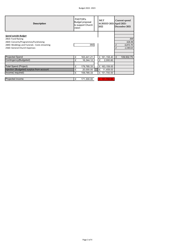| <b>Description</b>                            | PASTOR's<br>Budget proposal<br>to support Church<br>vision | <b>MLT</b><br><b>AGREED 2021-April 2021-</b><br>2022 | Current spend<br>December 2021 |  |  |  |
|-----------------------------------------------|------------------------------------------------------------|------------------------------------------------------|--------------------------------|--|--|--|
| <b>Spend outside Budget</b>                   |                                                            |                                                      |                                |  |  |  |
| 2810: Fund Raising                            |                                                            |                                                      | 300                            |  |  |  |
| 2820: Concerts/Programmes/Fundraising         |                                                            |                                                      | 626.96                         |  |  |  |
| 2840: Weddings and Funerals - Costs streaming | 350                                                        |                                                      | 6,872.70<br>£                  |  |  |  |
| 2560: General Church Expenses                 |                                                            |                                                      | £<br>1,540.63                  |  |  |  |
|                                               |                                                            |                                                      |                                |  |  |  |
|                                               |                                                            |                                                      |                                |  |  |  |
| <b>Projected Spend</b>                        | 163,441.21<br>£                                            | £ 161,158.40                                         | £<br>109,502.79                |  |  |  |
| Contingency(Budgeted)                         | 16,344.12<br>£                                             | 2,000.60<br>£                                        |                                |  |  |  |
|                                               |                                                            |                                                      |                                |  |  |  |
| <b>Total Spend (Project)</b>                  | £<br>179,785.33                                            | £ 163,159.00                                         |                                |  |  |  |
| injection (Budgeted) surplus from account     | -£<br>20,000.00                                            | 11,459.00<br>-£                                      |                                |  |  |  |
| Income(required)                              | £<br>159,785.33                                            | £ 151,700.00                                         |                                |  |  |  |
|                                               |                                                            |                                                      |                                |  |  |  |
| Projected income                              | 171,300.00<br>£                                            | £ 151,700.00                                         |                                |  |  |  |